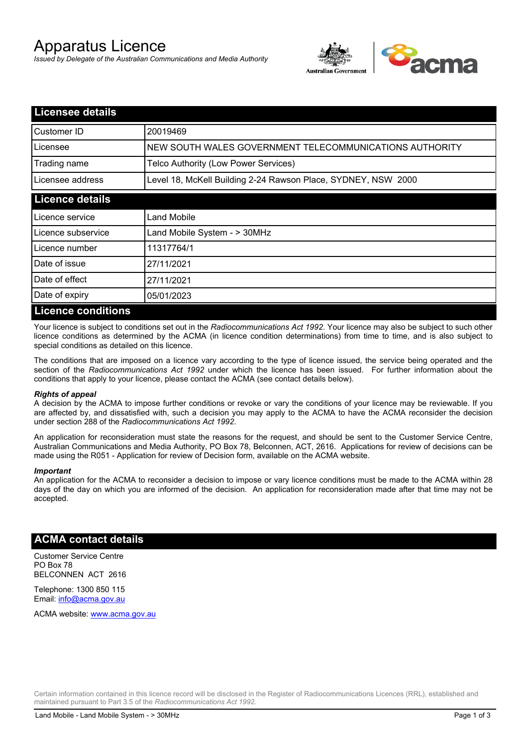# Apparatus Licence

*Issued by Delegate of the Australian Communications and Media Authority*



| <b>Licensee details</b>   |                                                               |  |
|---------------------------|---------------------------------------------------------------|--|
| Customer ID               | 20019469                                                      |  |
| Licensee                  | NEW SOUTH WALES GOVERNMENT TELECOMMUNICATIONS AUTHORITY       |  |
| Trading name              | Telco Authority (Low Power Services)                          |  |
| Licensee address          | Level 18, McKell Building 2-24 Rawson Place, SYDNEY, NSW 2000 |  |
| <b>Licence details</b>    |                                                               |  |
| l Licence service         | Land Mobile                                                   |  |
| Licence subservice        | Land Mobile System - > 30MHz                                  |  |
| Licence number            | 11317764/1                                                    |  |
| Date of issue             | 27/11/2021                                                    |  |
| Date of effect            | 27/11/2021                                                    |  |
| Date of expiry            | 05/01/2023                                                    |  |
| <b>Licence conditions</b> |                                                               |  |

Your licence is subject to conditions set out in the *Radiocommunications Act 1992*. Your licence may also be subject to such other licence conditions as determined by the ACMA (in licence condition determinations) from time to time, and is also subject to special conditions as detailed on this licence.

The conditions that are imposed on a licence vary according to the type of licence issued, the service being operated and the section of the *Radiocommunications Act 1992* under which the licence has been issued. For further information about the conditions that apply to your licence, please contact the ACMA (see contact details below).

### *Rights of appeal*

A decision by the ACMA to impose further conditions or revoke or vary the conditions of your licence may be reviewable. If you are affected by, and dissatisfied with, such a decision you may apply to the ACMA to have the ACMA reconsider the decision under section 288 of the *Radiocommunications Act 1992*.

An application for reconsideration must state the reasons for the request, and should be sent to the Customer Service Centre, Australian Communications and Media Authority, PO Box 78, Belconnen, ACT, 2616. Applications for review of decisions can be made using the R051 - Application for review of Decision form, available on the ACMA website.

#### *Important*

An application for the ACMA to reconsider a decision to impose or vary licence conditions must be made to the ACMA within 28 days of the day on which you are informed of the decision. An application for reconsideration made after that time may not be accepted.

### **ACMA contact details**

Customer Service Centre PO Box 78 BELCONNEN ACT 2616

Telephone: 1300 850 115 Email: info@acma.gov.au

ACMA website: www.acma.gov.au

Certain information contained in this licence record will be disclosed in the Register of Radiocommunications Licences (RRL), established and maintained pursuant to Part 3.5 of the *Radiocommunications Act 1992.*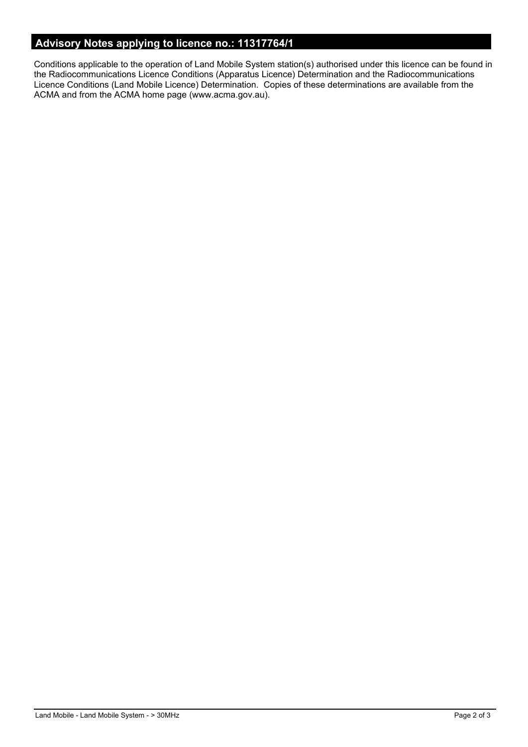# **Advisory Notes applying to licence no.: 11317764/1**

Conditions applicable to the operation of Land Mobile System station(s) authorised under this licence can be found in the Radiocommunications Licence Conditions (Apparatus Licence) Determination and the Radiocommunications Licence Conditions (Land Mobile Licence) Determination. Copies of these determinations are available from the ACMA and from the ACMA home page (www.acma.gov.au).